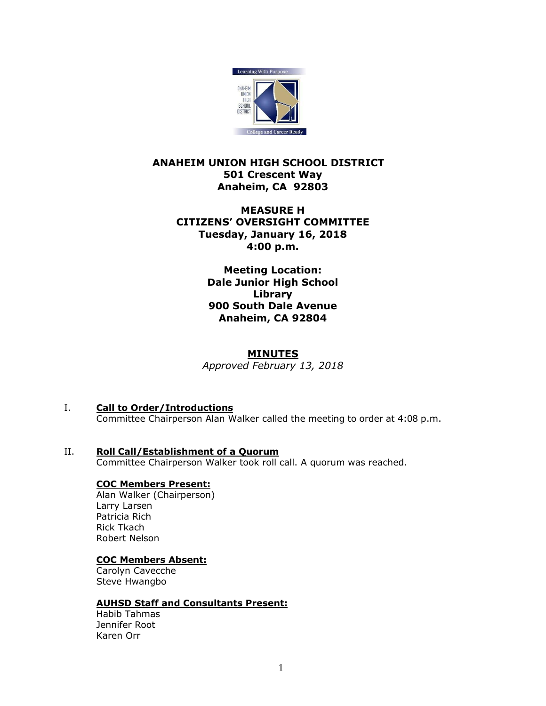

# **ANAHEIM UNION HIGH SCHOOL DISTRICT 501 Crescent Way Anaheim, CA 92803**

# **MEASURE H CITIZENS' OVERSIGHT COMMITTEE Tuesday, January 16, 2018 4:00 p.m.**

**Meeting Location: Dale Junior High School Library 900 South Dale Avenue Anaheim, CA 92804**

# **MINUTES**

*Approved February 13, 2018*

# I. **Call to Order/Introductions**

- Committee Chairperson Alan Walker called the meeting to order at 4:08 p.m.
- II. **Roll Call/Establishment of a Quorum** Committee Chairperson Walker took roll call. A quorum was reached.

# **COC Members Present:**

Alan Walker (Chairperson) Larry Larsen Patricia Rich Rick Tkach Robert Nelson

## **COC Members Absent:**

Carolyn Cavecche Steve Hwangbo

#### **AUHSD Staff and Consultants Present:**

Habib Tahmas Jennifer Root Karen Orr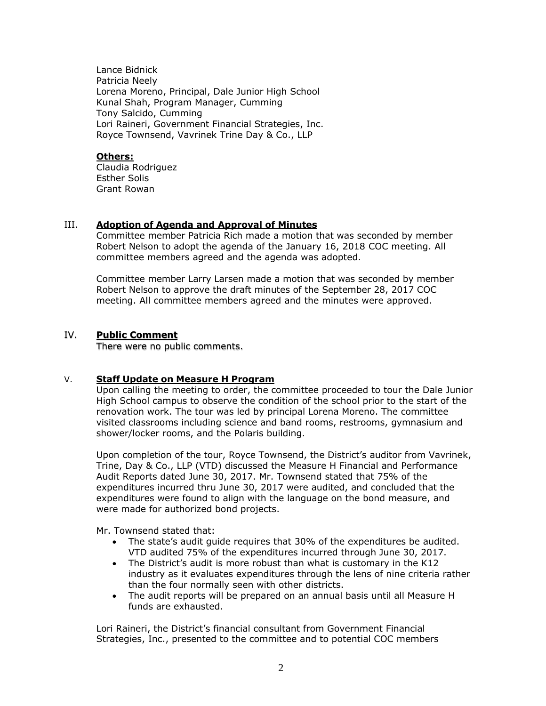Lance Bidnick Patricia Neely Lorena Moreno, Principal, Dale Junior High School Kunal Shah, Program Manager, Cumming Tony Salcido, Cumming Lori Raineri, Government Financial Strategies, Inc. Royce Townsend, Vavrinek Trine Day & Co., LLP

#### **Others:**

Claudia Rodriguez Esther Solis Grant Rowan

## III. **Adoption of Agenda and Approval of Minutes**

Committee member Patricia Rich made a motion that was seconded by member Robert Nelson to adopt the agenda of the January 16, 2018 COC meeting. All committee members agreed and the agenda was adopted.

Committee member Larry Larsen made a motion that was seconded by member Robert Nelson to approve the draft minutes of the September 28, 2017 COC meeting. All committee members agreed and the minutes were approved.

## IV. **Public Comment**

There were no public comments.

#### V. **Staff Update on Measure H Program**

Upon calling the meeting to order, the committee proceeded to tour the Dale Junior High School campus to observe the condition of the school prior to the start of the renovation work. The tour was led by principal Lorena Moreno. The committee visited classrooms including science and band rooms, restrooms, gymnasium and shower/locker rooms, and the Polaris building.

Upon completion of the tour, Royce Townsend, the District's auditor from Vavrinek, Trine, Day & Co., LLP (VTD) discussed the Measure H Financial and Performance Audit Reports dated June 30, 2017. Mr. Townsend stated that 75% of the expenditures incurred thru June 30, 2017 were audited, and concluded that the expenditures were found to align with the language on the bond measure, and were made for authorized bond projects.

Mr. Townsend stated that:

- The state's audit guide requires that 30% of the expenditures be audited. VTD audited 75% of the expenditures incurred through June 30, 2017.
- The District's audit is more robust than what is customary in the K12 industry as it evaluates expenditures through the lens of nine criteria rather than the four normally seen with other districts.
- The audit reports will be prepared on an annual basis until all Measure H funds are exhausted.

Lori Raineri, the District's financial consultant from Government Financial Strategies, Inc., presented to the committee and to potential COC members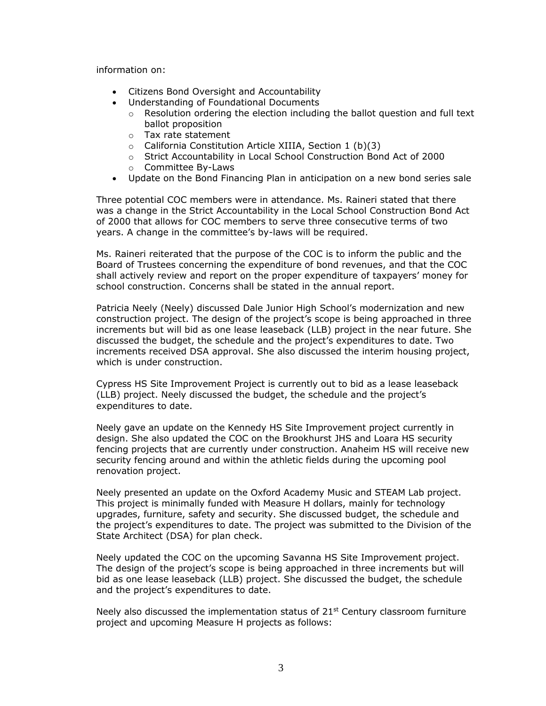information on:

- Citizens Bond Oversight and Accountability
- Understanding of Foundational Documents
	- $\circ$  Resolution ordering the election including the ballot question and full text ballot proposition
	- o Tax rate statement
	- o California Constitution Article XIIIA, Section 1 (b)(3)
	- o Strict Accountability in Local School Construction Bond Act of 2000
	- o Committee By-Laws
- Update on the Bond Financing Plan in anticipation on a new bond series sale

Three potential COC members were in attendance. Ms. Raineri stated that there was a change in the Strict Accountability in the Local School Construction Bond Act of 2000 that allows for COC members to serve three consecutive terms of two years. A change in the committee's by-laws will be required.

Ms. Raineri reiterated that the purpose of the COC is to inform the public and the Board of Trustees concerning the expenditure of bond revenues, and that the COC shall actively review and report on the proper expenditure of taxpayers' money for school construction. Concerns shall be stated in the annual report.

Patricia Neely (Neely) discussed Dale Junior High School's modernization and new construction project. The design of the project's scope is being approached in three increments but will bid as one lease leaseback (LLB) project in the near future. She discussed the budget, the schedule and the project's expenditures to date. Two increments received DSA approval. She also discussed the interim housing project, which is under construction.

Cypress HS Site Improvement Project is currently out to bid as a lease leaseback (LLB) project. Neely discussed the budget, the schedule and the project's expenditures to date.

Neely gave an update on the Kennedy HS Site Improvement project currently in design. She also updated the COC on the Brookhurst JHS and Loara HS security fencing projects that are currently under construction. Anaheim HS will receive new security fencing around and within the athletic fields during the upcoming pool renovation project.

Neely presented an update on the Oxford Academy Music and STEAM Lab project. This project is minimally funded with Measure H dollars, mainly for technology upgrades, furniture, safety and security. She discussed budget, the schedule and the project's expenditures to date. The project was submitted to the Division of the State Architect (DSA) for plan check.

Neely updated the COC on the upcoming Savanna HS Site Improvement project. The design of the project's scope is being approached in three increments but will bid as one lease leaseback (LLB) project. She discussed the budget, the schedule and the project's expenditures to date.

Neely also discussed the implementation status of  $21<sup>st</sup>$  Century classroom furniture project and upcoming Measure H projects as follows: